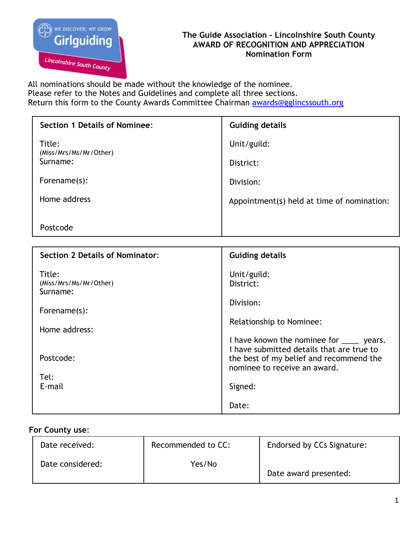

## **The Guide Association - Lincolnshire South County AWARD OF RECOGNITION AND APPRECIATION Nomination Form**

All nominations should be made without the knowledge of the nominee. Please refer to the Notes and Guidelines and complete all three sections. Return this form to the County Awards Committee Chairman [awards@gglincssouth.org](mailto:awards@gglincssouth.org)

| <b>Section 1 Details of Nominee:</b>   | <b>Guiding details</b>                                                                                                                                            |  |
|----------------------------------------|-------------------------------------------------------------------------------------------------------------------------------------------------------------------|--|
| Title:                                 | Unit/guild:                                                                                                                                                       |  |
| (Miss/Mrs/Ms/Mr/Other)<br>Surname:     | District:                                                                                                                                                         |  |
| Forename(s):                           | Division:                                                                                                                                                         |  |
| Home address                           | Appointment(s) held at time of nomination:                                                                                                                        |  |
| Postcode                               |                                                                                                                                                                   |  |
|                                        |                                                                                                                                                                   |  |
|                                        |                                                                                                                                                                   |  |
| <b>Section 2 Details of Nominator:</b> | <b>Guiding details</b>                                                                                                                                            |  |
| Title:<br>(Miss/Mrs/Ms/Mr/Other)       | Unit/guild:<br>District:                                                                                                                                          |  |
| Surname:                               | Division:                                                                                                                                                         |  |
| Forename(s):<br>Home address:          | Relationship to Nominee:                                                                                                                                          |  |
| Postcode:                              | I have known the nominee for _____ years.<br>I have submitted details that are true to<br>the best of my belief and recommend the<br>nominee to receive an award. |  |

E-mail

# **For County use**:

| Date received:   | Recommended to CC: | Endorsed by CCs Signature: |
|------------------|--------------------|----------------------------|
| Date considered: | Yes/No             | Date award presented:      |

Signed:

Date: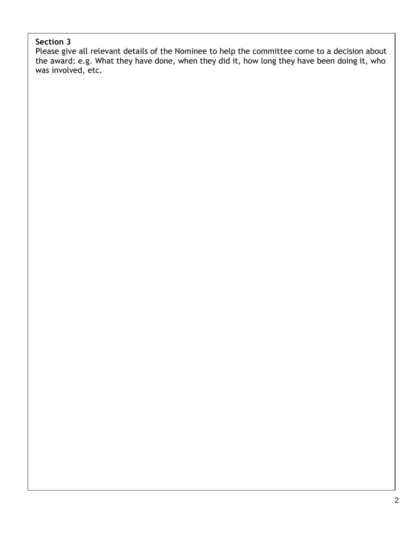### **Section 3**

Please give all relevant details of the Nominee to help the committee come to a decision about the award: e.g. What they have done, when they did it, how long they have been doing it, who was involved, etc.